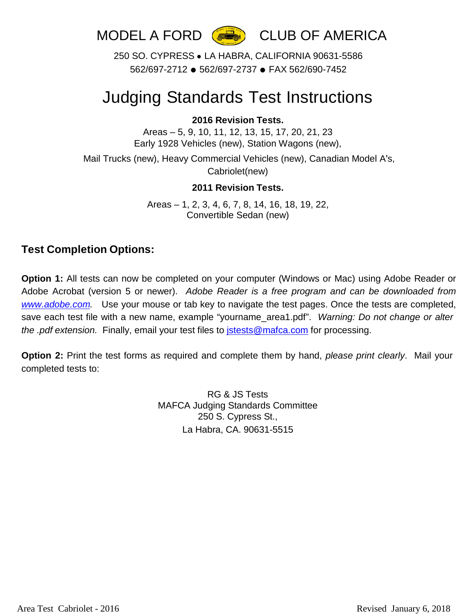

250 SO. CYPRESS ● LA HABRA, CALIFORNIA 90631-5586 562/697-2712 ● 562/697-2737 ● FAX 562/690-7452

# Judging Standards Test Instructions

#### **2016 Revision Tests.**

Areas – 5, 9, 10, 11, 12, 13, 15, 17, 20, 21, 23 Early 1928 Vehicles (new), Station Wagons (new),

Mail Trucks (new), Heavy Commercial Vehicles (new), Canadian Model A's, Cabriolet(new)

#### **2011 Revision Tests.**

Areas – 1, 2, 3, 4, 6, 7, 8, 14, 16, 18, 19, 22, Convertible Sedan (new)

### **Test Completion Options:**

**Option 1:** All tests can now be completed on your computer (Windows or Mac) using Adobe Reader or Adobe Acrobat (version 5 or newer). *Adobe Reader is a free program and can be downloaded from [www.adobe.com.](http://www.adobe.com/)* Use your mouse or tab key to navigate the test pages. Once the tests are completed, save each test file with a new name, example "yourname\_area1.pdf". *Warning: Do not change or alter the .pdf extension.* Finally, email your test files to [jstests@mafca.com](mailto:jstests@mafca.com) for processing.

**Option 2:** Print the test forms as required and complete them by hand, *please print clearly*. Mail your completed tests to:

> RG & JS Tests MAFCA Judging Standards Committee 250 S. Cypress St., La Habra, CA. 90631-5515